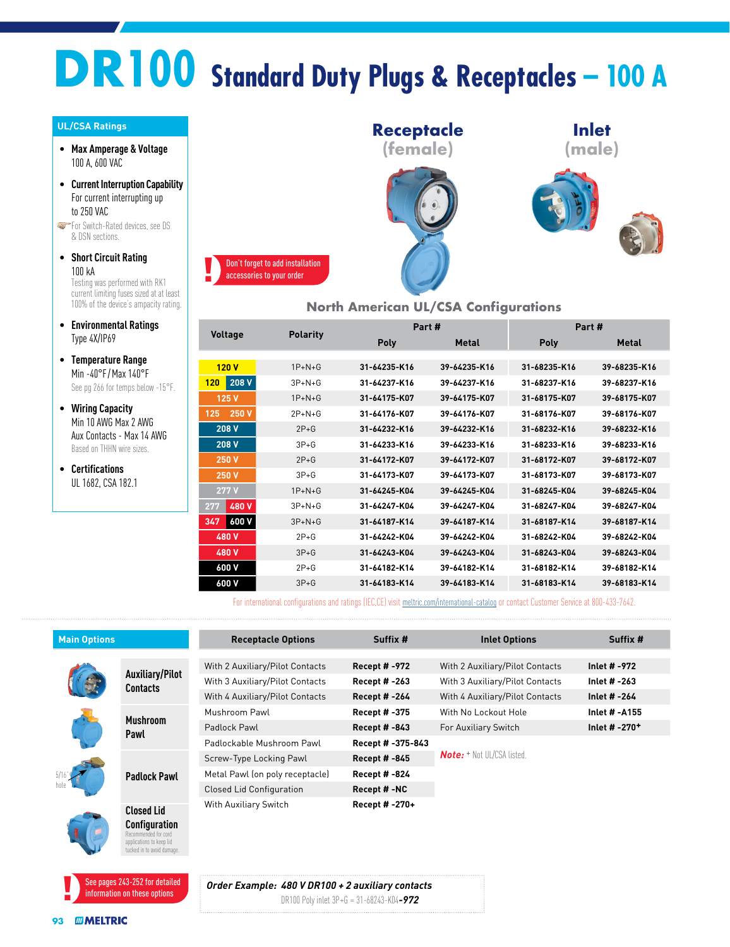# **DR100 Standard Duty Plugs & Receptacles – 100 A**

#### **UL/CSA Ratings**

- **Max Amperage & Voltage** 100 A, 600 VAC
- **Current Interruption Capability** For current interrupting up to 250 VAC

**For Switch-Rated devices, see DS** & DSN sections.

- **Short Circuit Rating** 100 kA Testing was performed with RK1 current limiting fuses sized at at least 100% of the device's ampacity rating.
- **Environmental Ratings** Type 4X/IP69
- **Temperature Range** Min -40°F / Max 140°F See pg 266 for temps below -15°F.
- **Wiring Capacity** Min 10 AWG Max 2 AWG Aux Contacts - Max 14 AWG Based on THHN wire sizes.
- **Certifications** UL 1682, CSA 182.1



#### **North American UL/CSA Configurations**

|                | <b>Polarity</b>          |              | Part#        | Part#        |              |  |  |  |
|----------------|--------------------------|--------------|--------------|--------------|--------------|--|--|--|
| <b>Voltage</b> |                          | Poly         | <b>Metal</b> | <b>Poly</b>  | <b>Metal</b> |  |  |  |
|                |                          |              |              |              |              |  |  |  |
| 120V           | $1P+N+G$                 | 31-64235-K16 | 39-64235-K16 | 31-68235-K16 | 39-68235-K16 |  |  |  |
| 208 V<br>120   | $3P+N+G$                 | 31-64237-K16 | 39-64237-K16 | 31-68237-K16 | 39-68237-K16 |  |  |  |
| 125 V          | $1P+N+G$                 | 31-64175-K07 | 39-64175-K07 | 31-68175-K07 | 39-68175-K07 |  |  |  |
| 250 V<br>125   | $2P + N + G$             | 31-64176-K07 | 39-64176-K07 | 31-68176-K07 | 39-68176-K07 |  |  |  |
| 208 V          | $2P+G$                   | 31-64232-K16 | 39-64232-K16 | 31-68232-K16 | 39-68232-K16 |  |  |  |
| 208 V          | $3P+G$                   | 31-64233-K16 | 39-64233-K16 | 31-68233-K16 | 39-68233-K16 |  |  |  |
| 250 V          | $2P+G$                   | 31-64172-K07 | 39-64172-K07 | 31-68172-K07 | 39-68172-K07 |  |  |  |
| 250 V          | $3P+G$                   | 31-64173-K07 | 39-64173-K07 | 31-68173-K07 | 39-68173-K07 |  |  |  |
| 277 V          | $1P+N+G$                 | 31-64245-K04 | 39-64245-K04 | 31-68245-K04 | 39-68245-K04 |  |  |  |
| 480 V<br>277   | $3P+N+G$                 | 31-64247-K04 | 39-64247-K04 | 31-68247-K04 | 39-68247-K04 |  |  |  |
| 600 V<br>347   | $3P+N+G$                 | 31-64187-K14 | 39-64187-K14 | 31-68187-K14 | 39-68187-K14 |  |  |  |
| 480 V          | $2P+G$                   | 31-64242-K04 | 39-64242-K04 | 31-68242-K04 | 39-68242-K04 |  |  |  |
| 480 V          | $3P+G$                   | 31-64243-K04 | 39-64243-K04 | 31-68243-K04 | 39-68243-K04 |  |  |  |
| 600 V          | $2P+G$                   | 31-64182-K14 | 39-64182-K14 | 31-68182-K14 | 39-68182-K14 |  |  |  |
| 600 V          | $3P + G$<br>31-64183-K14 |              | 39-64183-K14 | 31-68183-K14 |              |  |  |  |

For international configurations and ratings (IEC,CE) visit [meltric.com/international-catalog](https://meltric.com/media/contentmanager/content/MARECHAL_Full_Catalogue_EN_1.pdf) or contact Customer Service at 800-433-7642.

| <b>Main Options</b> |                                                | <b>Receptacle Options</b>                                          | Suffix #                                     | <b>Inlet Options</b>                                               | Suffix #                             |  |
|---------------------|------------------------------------------------|--------------------------------------------------------------------|----------------------------------------------|--------------------------------------------------------------------|--------------------------------------|--|
|                     | Auxiliary/Pilot<br><b>Contacts</b>             | With 2 Auxiliary/Pilot Contacts<br>With 3 Auxiliary/Pilot Contacts | <b>Recept # -972</b><br><b>Recept # -263</b> | With 2 Auxiliary/Pilot Contacts<br>With 3 Auxiliary/Pilot Contacts | Inlet # -972<br>Inlet $# -263$       |  |
|                     |                                                | With 4 Auxiliary/Pilot Contacts                                    | <b>Recept #-264</b>                          | With 4 Auxiliary/Pilot Contacts                                    | Inlet # -264<br><b>Inlet # -A155</b> |  |
|                     | <b>Mushroom</b><br>Pawl<br><b>Padlock Pawl</b> | Mushroom Pawl<br>Padlock Pawl                                      | Recept # -375<br><b>Recept # -843</b>        | With No Lockout Hole<br>For Auxiliary Switch                       | Inlet # -270 <sup>+</sup>            |  |
|                     |                                                | Padlockable Mushroom Pawl<br>Screw-Type Locking Pawl               | Recept # -375-843<br><b>Recept # -845</b>    | <b>Note:</b> + Not UL/CSA listed.                                  |                                      |  |
|                     |                                                | Metal Pawl (on poly receptacle)                                    | <b>Recept # -824</b>                         |                                                                    |                                      |  |
|                     |                                                | <b>Closed Lid Configuration</b>                                    | Recept #-NC                                  |                                                                    |                                      |  |
|                     | <b>Closed Lid</b><br><b>Configuration</b>      | With Auxiliary Switch                                              | Recept # -270+                               |                                                                    |                                      |  |



I for cord and an according to the corrections to keep lid ed in to avoid damag

> *Order Example: 480 V DR100 + 2 auxiliary contacts* DR100 Poly inlet 3P+G = 31-68243-K04*-972*

**93** *MMELTRIC*